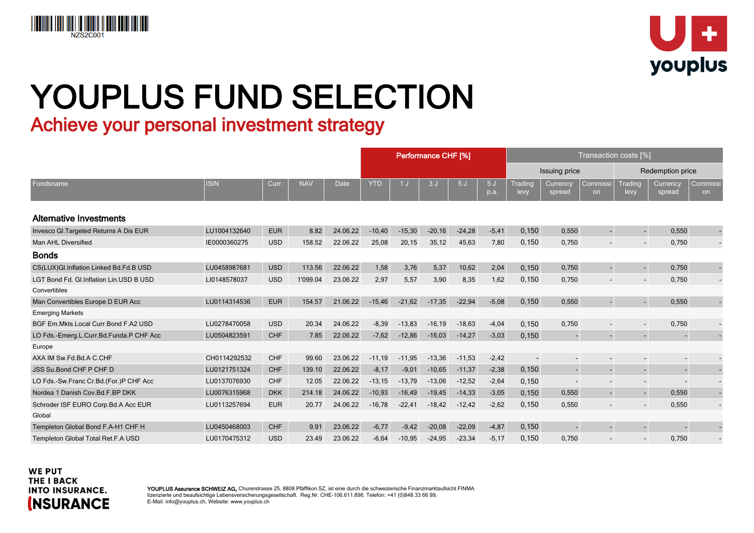



## YOUPLUS FUND SELECTION

Achieve your personal investment strategy

|                                         |              |            |            |          | Performance CHF [%] |          |           |          | Transaction costs [%] |                          |                    |                          |                          |                          |                |
|-----------------------------------------|--------------|------------|------------|----------|---------------------|----------|-----------|----------|-----------------------|--------------------------|--------------------|--------------------------|--------------------------|--------------------------|----------------|
|                                         |              |            |            |          |                     |          |           |          |                       |                          | Issuing price      |                          |                          | <b>Redemption price</b>  |                |
| Fondsname                               | <b>ISIN</b>  | Curr.      | <b>NAV</b> | Date     | <b>YTD</b>          | 1J       | 3J        | 5J       | 5J<br>p.a.            | <b>Trading</b><br>levy   | Currency<br>spread | Commissi<br>on           | Trading<br>levy          | Currency<br>spread       | Commissi<br>on |
| Alternative Investments                 |              |            |            |          |                     |          |           |          |                       |                          |                    |                          |                          |                          |                |
| Invesco Gl. Targeted Returns A Dis EUR  | LU1004132640 | <b>EUR</b> | 8.82       | 24.06.22 | $-10,40$            | $-15,30$ | $-20,16$  | $-24,28$ | $-5,41$               | 0,150                    | 0,550              | $\blacksquare$           | $\blacksquare$           | 0,550                    |                |
| Man AHL Diversified                     | IE0000360275 | <b>USD</b> | 158.52     | 22.06.22 | 25,08               | 20,15    | 35,12     | 45,63    | 7,80                  | 0,150                    | 0,750              | $\overline{\phantom{a}}$ | $\overline{\phantom{a}}$ | 0,750                    |                |
| <b>Bonds</b>                            |              |            |            |          |                     |          |           |          |                       |                          |                    |                          |                          |                          |                |
| CS(LUX)Gl.Inflation Linked Bd.Fd.B USD  | LU0458987681 | <b>USD</b> | 113.56     | 22.06.22 | 1,58                | 3,76     | 5,37      | 10,62    | 2,04                  | 0,150                    | 0,750              | $\sim$                   | $\blacksquare$           | 0,750                    |                |
| LGT Bond Fd. Gl.Inflation Lin.USD B USD | LI0148578037 | <b>USD</b> | 1'099.04   | 23.06.22 | 2,97                | 5,57     | 3,90      | 8,35     | 1,62                  | 0,150                    | 0,750              | $\overline{\phantom{a}}$ | $\overline{\phantom{a}}$ | 0,750                    |                |
| Convertibles                            |              |            |            |          |                     |          |           |          |                       |                          |                    |                          |                          |                          |                |
| Man Convertibles Europe D EUR Acc       | LU0114314536 | <b>EUR</b> | 154.57     | 21.06.22 | $-15,46$            | $-21,62$ | $-17,35$  | $-22,94$ | $-5,08$               | 0,150                    | 0,550              |                          | $\blacksquare$           | 0,550                    |                |
| <b>Emerging Markets</b>                 |              |            |            |          |                     |          |           |          |                       |                          |                    |                          |                          |                          |                |
| BGF Em.Mkts.Local Curr.Bond F.A2 USD    | LU0278470058 | <b>USD</b> | 20.34      | 24.06.22 | $-8,39$             | $-13,83$ | $-16, 19$ | $-18,63$ | $-4,04$               | 0,150                    | 0,750              |                          | $\overline{\phantom{a}}$ | 0,750                    |                |
| LO Fds.-Emerg.L.Curr.Bd.Funda.P CHF Acc | LU0504823591 | <b>CHF</b> | 7.85       | 22.06.22 | $-7,62$             | $-12,86$ | $-16,03$  | $-14,27$ | $-3,03$               | 0,150                    |                    |                          | $\blacksquare$           |                          |                |
| Europe                                  |              |            |            |          |                     |          |           |          |                       |                          |                    |                          |                          |                          |                |
| AXA IM Sw.Fd.Bd.A C.CHF                 | CH0114292532 | <b>CHF</b> | 99.60      | 23.06.22 | $-11,19$            | $-11,95$ | $-13,36$  | $-11,53$ | $-2,42$               | $\overline{\phantom{a}}$ |                    |                          | $\overline{\phantom{a}}$ | $\overline{\phantom{a}}$ |                |
| JSS Su.Bond CHF P CHF D                 | LU0121751324 | <b>CHF</b> | 139.10     | 22.06.22 | $-8,17$             | $-9,01$  | $-10,65$  | $-11,37$ | $-2,38$               | 0,150                    | $\blacksquare$     | $\overline{\phantom{a}}$ | $\blacksquare$           | $\overline{\phantom{a}}$ |                |
| LO Fds.-Sw.Franc Cr.Bd.(For.)P CHF Acc  | LU0137076930 | <b>CHF</b> | 12.05      | 22.06.22 | $-13,15$            | $-13,79$ | $-13,06$  | $-12,52$ | $-2,64$               | 0,150                    |                    | $\overline{\phantom{a}}$ | $\overline{\phantom{a}}$ | $\overline{\phantom{a}}$ |                |
| Nordea 1 Danish Cov.Bd.F.BP DKK         | LU0076315968 | <b>DKK</b> | 214.18     | 24.06.22 | $-10,93$            | $-16,49$ | $-19,45$  | $-14,33$ | $-3,05$               | 0,150                    | 0,550              | $\blacksquare$           | $\blacksquare$           | 0,550                    |                |
| Schroder ISF EURO Corp.Bd.A Acc EUR     | LU0113257694 | <b>EUR</b> | 20.77      | 24.06.22 | $-16,78$            | $-22,41$ | $-18,42$  | $-12,42$ | $-2,62$               | 0,150                    | 0,550              | $\overline{\phantom{a}}$ | $\overline{\phantom{a}}$ | 0,550                    |                |
| Global                                  |              |            |            |          |                     |          |           |          |                       |                          |                    |                          |                          |                          |                |
| Templeton Global Bond F.A-H1 CHF H      | LU0450468003 | <b>CHF</b> | 9.91       | 23.06.22 | $-6,77$             | $-9,42$  | $-20,08$  | $-22,09$ | $-4,87$               | 0,150                    |                    |                          |                          |                          |                |
| Templeton Global Total Ret.F.A USD      | LU0170475312 | <b>USD</b> | 23.49      | 23.06.22 | $-6,64$             | $-10,95$ | $-24,95$  | $-23,34$ | $-5,17$               | 0,150                    | 0.750              |                          |                          | 0,750                    |                |

**WE PUT THE I BACK INTO INSURANCE. INSURANCE** 

YOUPLUS Assurance SCHWEIZ AG, Churerstrasse 25, 8808 Pfäffikon SZ, ist eine durch die schweizerische Finanzmarktaufsicht FINMA lizenzierte und beaufsichtige Lebensversicherungsgesellschaft. Reg.Nr. CHE-106.611.896. Telefon: +41 (0)848 33 66 99, E-Mail: info@youplus.ch, Website: www.youplus.ch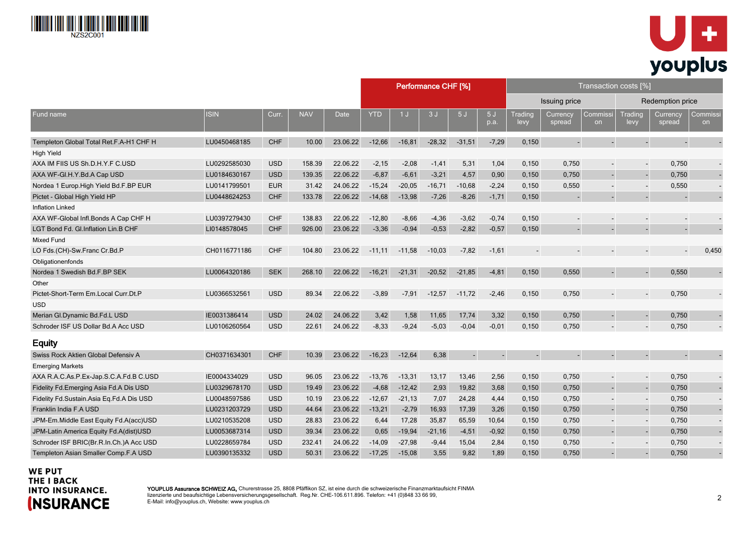



|                                          |              |            |            |             | Performance CHF [%]<br>Transaction costs [%] |           |          |                      |            |                 |                    |                          |                          |                    |                |
|------------------------------------------|--------------|------------|------------|-------------|----------------------------------------------|-----------|----------|----------------------|------------|-----------------|--------------------|--------------------------|--------------------------|--------------------|----------------|
|                                          |              |            |            |             |                                              |           |          | <b>Issuing price</b> |            |                 | Redemption price   |                          |                          |                    |                |
| Fund name                                | <b>ISIN</b>  | Curr.      | <b>NAV</b> | <b>Date</b> | <b>YTD</b>                                   | 1J        | 3J       | 5J                   | 5J<br>p.a. | Trading<br>levy | Currency<br>spread | Commissi<br>on           | Trading<br>levy          | Currency<br>spread | Commissi<br>on |
| Templeton Global Total Ret.F.A-H1 CHF H  | LU0450468185 | <b>CHF</b> | 10.00      | 23.06.22    | $-12,66$                                     | $-16, 81$ | $-28,32$ | $-31,51$             | $-7,29$    | 0,150           |                    |                          | $\overline{a}$           |                    |                |
| High Yield                               |              |            |            |             |                                              |           |          |                      |            |                 |                    |                          |                          |                    |                |
| AXA IM FIIS US Sh.D.H.Y.F C.USD          | LU0292585030 | <b>USD</b> | 158.39     | 22.06.22    | $-2,15$                                      | $-2,08$   | $-1,41$  | 5,31                 | 1,04       | 0,150           | 0,750              |                          | $\overline{a}$           | 0,750              |                |
| AXA WF-GI.H.Y.Bd.A Cap USD               | LU0184630167 | <b>USD</b> | 139.35     | 22.06.22    | $-6,87$                                      | $-6,61$   | $-3,21$  | 4,57                 | 0,90       | 0,150           | 0,750              |                          |                          | 0,750              |                |
| Nordea 1 Europ. High Yield Bd. F. BP EUR | LU0141799501 | <b>EUR</b> | 31.42      | 24.06.22    | $-15,24$                                     | $-20,05$  | $-16,71$ | $-10,68$             | $-2,24$    | 0,150           | 0,550              |                          | $\blacksquare$           | 0,550              |                |
| Pictet - Global High Yield HP            | LU0448624253 | <b>CHF</b> | 133.78     | 22.06.22    | $-14,68$                                     | $-13,98$  | $-7,26$  | $-8,26$              | $-1,71$    | 0,150           |                    |                          | ÷.                       |                    |                |
| <b>Inflation Linked</b>                  |              |            |            |             |                                              |           |          |                      |            |                 |                    |                          |                          |                    |                |
| AXA WF-Global Infl.Bonds A Cap CHF H     | LU0397279430 | <b>CHF</b> | 138.83     | 22.06.22    | $-12,80$                                     | $-8,66$   | $-4,36$  | $-3,62$              | $-0,74$    | 0,150           |                    |                          | $\overline{a}$           |                    |                |
| LGT Bond Fd. Gl. Inflation Lin. B CHF    | LI0148578045 | <b>CHF</b> | 926.00     | 23.06.22    | $-3,36$                                      | $-0,94$   | $-0,53$  | $-2,82$              | $-0,57$    | 0,150           |                    |                          |                          |                    |                |
| Mixed Fund                               |              |            |            |             |                                              |           |          |                      |            |                 |                    |                          |                          |                    |                |
| LO Fds.(CH)-Sw.Franc Cr.Bd.P             | CH0116771186 | <b>CHF</b> | 104.80     | 23.06.22    | $-11,11$                                     | $-11,58$  | $-10,03$ | $-7,82$              | $-1,61$    |                 |                    |                          |                          |                    | 0,450          |
| Obligationenfonds                        |              |            |            |             |                                              |           |          |                      |            |                 |                    |                          |                          |                    |                |
| Nordea 1 Swedish Bd.F.BP SEK             | LU0064320186 | <b>SEK</b> | 268.10     | 22.06.22    | $-16,21$                                     | $-21,31$  | $-20,52$ | $-21,85$             | $-4,81$    | 0,150           | 0,550              | $\sim$                   | $\sim$                   | 0,550              |                |
| Other                                    |              |            |            |             |                                              |           |          |                      |            |                 |                    |                          |                          |                    |                |
| Pictet-Short-Term Em.Local Curr.Dt.P     | LU0366532561 | <b>USD</b> | 89.34      | 22.06.22    | $-3,89$                                      | $-7,91$   | $-12,57$ | $-11,72$             | $-2,46$    | 0,150           | 0,750              |                          | $\blacksquare$           | 0,750              |                |
| <b>USD</b>                               |              |            |            |             |                                              |           |          |                      |            |                 |                    |                          |                          |                    |                |
| Merian Gl.Dynamic Bd.Fd.L USD            | IE0031386414 | <b>USD</b> | 24.02      | 24.06.22    | 3,42                                         | 1,58      | 11,65    | 17,74                | 3,32       | 0,150           | 0,750              |                          | $\blacksquare$           | 0,750              |                |
| Schroder ISF US Dollar Bd.A Acc USD      | LU0106260564 | <b>USD</b> | 22.61      | 24.06.22    | $-8,33$                                      | $-9,24$   | $-5,03$  | $-0.04$              | $-0,01$    | 0,150           | 0,750              |                          |                          | 0,750              |                |
| <b>Equity</b>                            |              |            |            |             |                                              |           |          |                      |            |                 |                    |                          |                          |                    |                |
| Swiss Rock Aktien Global Defensiv A      | CH0371634301 | <b>CHF</b> | 10.39      | 23.06.22    | $-16,23$                                     | $-12,64$  | 6,38     |                      | L.         |                 |                    |                          |                          |                    |                |
| <b>Emerging Markets</b>                  |              |            |            |             |                                              |           |          |                      |            |                 |                    |                          |                          |                    |                |
| AXA R.A.C.As.P.Ex-Jap.S.C.A.Fd.B C.USD   | IE0004334029 | <b>USD</b> | 96.05      | 23.06.22    | $-13,76$                                     | $-13,31$  | 13,17    | 13,46                | 2,56       | 0,150           | 0,750              |                          | $\overline{\phantom{a}}$ | 0,750              |                |
| Fidelity Fd.Emerging Asia Fd.A Dis USD   | LU0329678170 | <b>USD</b> | 19.49      | 23.06.22    | $-4,68$                                      | $-12,42$  | 2,93     | 19,82                | 3,68       | 0,150           | 0,750              |                          | $\overline{\phantom{a}}$ | 0,750              |                |
| Fidelity Fd.Sustain.Asia Eq.Fd.A Dis USD | LU0048597586 | <b>USD</b> | 10.19      | 23.06.22    | $-12,67$                                     | $-21,13$  | 7,07     | 24,28                | 4,44       | 0,150           | 0,750              | $\overline{\phantom{a}}$ | $\blacksquare$           | 0,750              |                |
| Franklin India F.A USD                   | LU0231203729 | <b>USD</b> | 44.64      | 23.06.22    | $-13,21$                                     | $-2,79$   | 16,93    | 17,39                | 3,26       | 0,150           | 0,750              |                          | L,                       | 0,750              |                |
| JPM-Em.Middle East Equity Fd.A(acc)USD   | LU0210535208 | <b>USD</b> | 28.83      | 23.06.22    | 6,44                                         | 17,28     | 35,87    | 65,59                | 10,64      | 0,150           | 0,750              |                          | $\overline{\phantom{a}}$ | 0,750              |                |
| JPM-Latin America Equity Fd.A(dist)USD   | LU0053687314 | <b>USD</b> | 39.34      | 23.06.22    | 0,65                                         | $-19,94$  | $-21,16$ | $-4,51$              | $-0,92$    | 0,150           | 0,750              |                          | $\overline{a}$           | 0,750              |                |
| Schroder ISF BRIC(Br.R.In.Ch.)A Acc USD  | LU0228659784 | <b>USD</b> | 232.41     | 24.06.22    | $-14,09$                                     | $-27,98$  | $-9,44$  | 15,04                | 2,84       | 0,150           | 0,750              |                          |                          | 0,750              |                |
| Templeton Asian Smaller Comp.F.A USD     | LU0390135332 | <b>USD</b> | 50.31      | 23.06.22    | $-17,25$                                     | $-15,08$  | 3,55     | 9,82                 | 1,89       | 0,150           | 0,750              |                          |                          | 0,750              |                |

#### **WE PUT** THE I BACK **INTO INSURANCE. (NSURANCE**

YOUPLUS Assurance SCHWEIZ AG, Churerstrasse 25, 8808 Pfäffikon SZ, ist eine durch die schweizerische Finanzmarktaufsicht FINMA lizenzierte und beaufsichtige Lebensversicherungsgesellschaft. Reg.Nr. CHE-106.611.896. Telefon: +41 (0)848 33 66 99, E-Mail: info@youplus.ch, Website: www.youplus.ch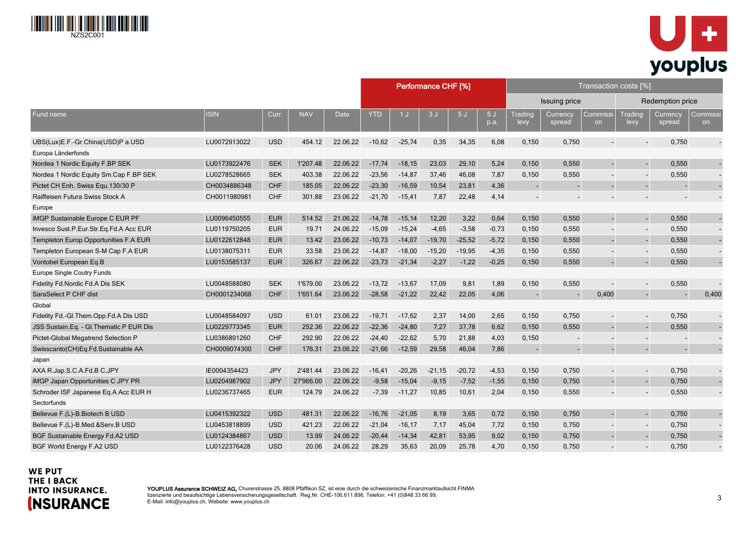



|                                          |              |            |            |          | Performance CHF [%] |                |          |          |            | Transaction costs [%]    |                    |                |                          |                          |                          |  |
|------------------------------------------|--------------|------------|------------|----------|---------------------|----------------|----------|----------|------------|--------------------------|--------------------|----------------|--------------------------|--------------------------|--------------------------|--|
|                                          |              |            |            |          |                     |                |          |          |            | Issuing price            |                    |                | Redemption price         |                          |                          |  |
| Fund name                                | <b>ISIN</b>  | Curr.      | <b>NAV</b> | Date     | <b>YTD</b>          | 1 <sub>J</sub> | 3J       | 5J       | 5J<br>p.a. | Trading<br>levy          | Currency<br>spread | Commissi<br>on | <b>Trading</b><br>levy   | Currency<br>spread       | Commiss<br>on            |  |
| UBS(Lux)E.F.-Gr.China(USD)P a.USD        | LU0072913022 | <b>USD</b> | 454.12     | 22.06.22 | $-10,62$            | $-25,74$       | 0,35     | 34,35    | 6,08       | 0,150                    | 0,750              |                | $\overline{\phantom{a}}$ | 0,750                    |                          |  |
| Europa Länderfonds                       |              |            |            |          |                     |                |          |          |            |                          |                    |                |                          |                          |                          |  |
| Nordea 1 Nordic Equity F.BP SEK          | LU0173922476 | <b>SEK</b> | 1'207.48   | 22.06.22 | $-17,74$            | $-18,15$       | 23,03    | 29,10    | 5,24       | 0,150                    | 0,550              |                |                          | 0,550                    |                          |  |
| Nordea 1 Nordic Equity Sm.Cap F.BP SEK   | LU0278528665 | <b>SEK</b> | 403.38     | 22.06.22 | $-23,56$            | $-14,87$       | 37,46    | 46,08    | 7,87       | 0,150                    | 0,550              |                | $\overline{\phantom{a}}$ | 0,550                    | $\blacksquare$           |  |
| Pictet CH Enh. Swiss Equ. 130/30 P       | CH0034886348 | <b>CHF</b> | 185.05     | 22.06.22 | $-23,30$            | $-16.59$       | 10,54    | 23,81    | 4,36       | $\blacksquare$           |                    |                | $\blacksquare$           |                          |                          |  |
| Raiffeisen Futura Swiss Stock A          | CH0011980981 | <b>CHF</b> | 301.88     | 23.06.22 | $-21,70$            | $-15,41$       | 7,87     | 22,48    | 4,14       |                          |                    |                | $\overline{\phantom{a}}$ |                          | $\overline{\phantom{a}}$ |  |
| Europe                                   |              |            |            |          |                     |                |          |          |            |                          |                    |                |                          |                          |                          |  |
| iMGP Sustainable Europe C EUR PF         | LU0096450555 | <b>EUR</b> | 514.52     | 21.06.22 | $-14,78$            | $-15,14$       | 12,20    | 3,22     | 0,64       | 0,150                    | 0,550              |                |                          | 0,550                    |                          |  |
| Invesco Sust.P.Eur.Str.Eq.Fd.A Acc EUR   | LU0119750205 | <b>EUR</b> | 19.71      | 24.06.22 | $-15,09$            | $-15,24$       | $-4,65$  | $-3,58$  | $-0,73$    | 0,150                    | 0,550              |                | $\overline{\phantom{a}}$ | 0,550                    | $\blacksquare$           |  |
| Templeton Europ.Opportunities F.A EUR    | LU0122612848 | <b>EUR</b> | 13.42      | 23.06.22 | $-10,73$            | $-14,07$       | $-19,70$ | $-25,52$ | $-5,72$    | 0,150                    | 0,550              |                | $\blacksquare$           | 0,550                    | $\blacksquare$           |  |
| Templeton European S-M Cap F.A EUR       | LU0138075311 | <b>EUR</b> | 33.58      | 23.06.22 | $-14,87$            | $-18,00$       | $-15,20$ | $-19.95$ | $-4,35$    | 0,150                    | 0,550              |                | $\blacksquare$           | 0,550                    | $\blacksquare$           |  |
| Vontobel European Eq.B                   | LU0153585137 | <b>EUR</b> | 326.67     | 22.06.22 | $-23,73$            | $-21,34$       | $-2,27$  | $-1,22$  | $-0,25$    | 0,150                    | 0,550              |                | $\sim$                   | 0,550                    |                          |  |
| Europe Single Coutry Funds               |              |            |            |          |                     |                |          |          |            |                          |                    |                |                          |                          |                          |  |
| Fidelity Fd.Nordic Fd.A Dis SEK          | LU0048588080 | <b>SEK</b> | 1'679.00   | 23.06.22 | $-13,72$            | $-13,67$       | 17,09    | 9,81     | 1,89       | 0,150                    | 0,550              |                | $\blacksquare$           | 0,550                    |                          |  |
| SaraSelect P CHF dist                    | CH0001234068 | <b>CHF</b> | 1'651.64   | 23.06.22 | $-28.58$            | $-21.22$       | 22,42    | 22,05    | 4,06       | $\sim$                   |                    | 0,400          | $\blacksquare$           |                          | 0,400                    |  |
| Global                                   |              |            |            |          |                     |                |          |          |            |                          |                    |                |                          |                          |                          |  |
| Fidelity Fd.-Gl.Them.Opp.Fd.A Dis USD    | LU0048584097 | <b>USD</b> | 61.01      | 23.06.22 | $-19,71$            | $-17,62$       | 2,37     | 14,00    | 2,65       | 0,150                    | 0,750              |                | $\blacksquare$           | 0,750                    | $\blacksquare$           |  |
| JSS Sustain Eq. - Gl. Thematic P EUR Dis | LU0229773345 | <b>EUR</b> | 252.36     | 22.06.22 | $-22,36$            | $-24,80$       | 7,27     | 37,78    | 6,62       | 0,150                    | 0,550              |                |                          | 0,550                    |                          |  |
| Pictet-Global Megatrend Selection P      | LU0386891260 | <b>CHF</b> | 292.90     | 22.06.22 | $-24,40$            | $-22,62$       | 5,70     | 21,88    | 4,03       | 0,150                    |                    |                | $\overline{\phantom{a}}$ |                          | $\overline{\phantom{a}}$ |  |
| Swisscanto(CH)Eq.Fd.Sustainable AA       | CH0009074300 | <b>CHF</b> | 176.31     | 23.06.22 | $-21,66$            | $-12,59$       | 29,58    | 46,04    | 7,86       | $\overline{\phantom{a}}$ |                    |                | $\blacksquare$           | $\overline{\phantom{a}}$ |                          |  |
| Japan                                    |              |            |            |          |                     |                |          |          |            |                          |                    |                |                          |                          |                          |  |
| AXA R.Jap.S.C.A.Fd.B C.JPY               | IE0004354423 | <b>JPY</b> | 2'481.44   | 23.06.22 | $-16,41$            | $-20,26$       | $-21,15$ | $-20,72$ | $-4,53$    | 0,150                    | 0,750              |                | $\blacksquare$           | 0,750                    | $\overline{\phantom{a}}$ |  |
| iMGP Japan Opportunities C JPY PR        | LU0204987902 | <b>JPY</b> | 27'966.00  | 22.06.22 | $-9,58$             | $-15,04$       | $-9,15$  | $-7,52$  | $-1,55$    | 0,150                    | 0,750              |                | $\mathbf{r}$             | 0,750                    |                          |  |
| Schroder ISF Japanese Eq.A Acc EUR H     | LU0236737465 | <b>EUR</b> | 124.79     | 24.06.22 | $-7,39$             | $-11,27$       | 10,85    | 10,61    | 2,04       | 0,150                    | 0,550              |                |                          | 0,550                    |                          |  |
| Sectorfunds                              |              |            |            |          |                     |                |          |          |            |                          |                    |                |                          |                          |                          |  |
| Bellevue F.(L)-B.Biotech B USD           | LU0415392322 | <b>USD</b> | 481.31     | 22.06.22 | $-16,76$            | $-21,05$       | 8,19     | 3,65     | 0,72       | 0,150                    | 0,750              |                | $\blacksquare$           | 0,750                    | $\sim$                   |  |
| Bellevue F.(L)-B.Med.&Serv.B USD         | LU0453818899 | <b>USD</b> | 421.23     | 22.06.22 | $-21,04$            | $-16, 17$      | 7,17     | 45,04    | 7,72       | 0,150                    | 0,750              |                | $\overline{\phantom{a}}$ | 0,750                    | $\overline{\phantom{a}}$ |  |
| BGF Sustainable Energy Fd.A2 USD         | LU0124384867 | <b>USD</b> | 13.99      | 24.06.22 | $-20,44$            | $-14,34$       | 42,81    | 53,95    | 9,02       | 0,150                    | 0,750              |                |                          | 0,750                    |                          |  |
| BGF World Energy F.A2 USD                | LU0122376428 | <b>USD</b> | 20.06      | 24.06.22 | 28,29               | 35,63          | 20,09    | 25,78    | 4,70       | 0.150                    | 0,750              |                |                          | 0,750                    |                          |  |

#### **WE PUT** THE I BACK **INTO INSURANCE. (NSURANCE**

YOUPLUS Assurance SCHWEIZ AG, Churerstrasse 25, 8808 Pfäffikon SZ, ist eine durch die schweizerische Finanzmarktaufsicht FINMA lizenzierte und beaufsichtige Lebensversicherungsgesellschaft. Reg.Nr. CHE-106.611.896. Telefon: +41 (0)848 33 66 99, E-Mail: info@youplus.ch, Website: www.youplus.ch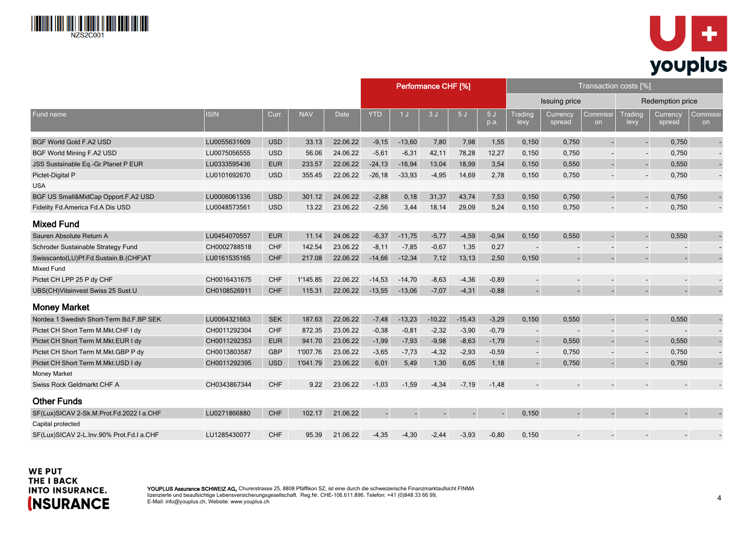



|                                          |              |            |            |          | Performance CHF [%] |          |          |                      |            | Transaction costs [%]    |                         |                          |                          |                    |                |  |
|------------------------------------------|--------------|------------|------------|----------|---------------------|----------|----------|----------------------|------------|--------------------------|-------------------------|--------------------------|--------------------------|--------------------|----------------|--|
|                                          |              |            |            |          |                     |          |          | <b>Issuing price</b> |            |                          | <b>Redemption price</b> |                          |                          |                    |                |  |
| Fund name                                | <b>ISIN</b>  | Curr.      | <b>NAV</b> | Date     | <b>YTD</b>          | 1J       | 3J       | 5J                   | 5J<br>p.a. | Trading<br>levy          | Currency<br>spread      | Commissi<br>on           | Trading<br>levy          | Currency<br>spread | Commissi<br>on |  |
| <b>BGF World Gold F.A2 USD</b>           | LU0055631609 | <b>USD</b> | 33.13      | 22.06.22 | $-9,15$             | $-13,60$ | 7,80     | 7,98                 | 1,55       | 0,150                    | 0,750                   |                          |                          | 0,750              |                |  |
| BGF World Mining F.A2 USD                | LU0075056555 | <b>USD</b> | 56.06      | 24.06.22 | $-5,61$             | $-6,31$  | 42,11    | 78,28                | 12,27      | 0,150                    | 0,750                   | $\overline{\phantom{a}}$ | $\overline{a}$           | 0,750              |                |  |
| JSS Sustainable Eq.-Gr.Planet P EUR      | LU0333595436 | <b>EUR</b> | 233.57     | 22.06.22 | $-24, 13$           | $-16,94$ | 13,04    | 18,99                | 3,54       | 0,150                    | 0,550                   |                          | $\overline{\phantom{a}}$ | 0,550              |                |  |
| Pictet-Digital P                         | LU0101692670 | <b>USD</b> | 355.45     | 22.06.22 | $-26,18$            | $-33,93$ | $-4,95$  | 14,69                | 2,78       | 0,150                    | 0,750                   |                          | $\overline{a}$           | 0,750              |                |  |
| <b>USA</b>                               |              |            |            |          |                     |          |          |                      |            |                          |                         |                          |                          |                    |                |  |
| BGF US Small&MidCap Opport.F.A2 USD      | LU0006061336 | <b>USD</b> | 301.12     | 24.06.22 | $-2,88$             | 0, 18    | 31,37    | 43,74                | 7,53       | 0,150                    | 0,750                   | $\blacksquare$           | $\blacksquare$           | 0,750              |                |  |
| Fidelity Fd.America Fd.A Dis USD         | LU0048573561 | <b>USD</b> | 13.22      | 23.06.22 | $-2,56$             | 3,44     | 18,14    | 29,09                | 5,24       | 0,150                    | 0,750                   |                          | $\overline{a}$           | 0,750              |                |  |
| <b>Mixed Fund</b>                        |              |            |            |          |                     |          |          |                      |            |                          |                         |                          |                          |                    |                |  |
| Sauren Absolute Return A                 | LU0454070557 | <b>EUR</b> | 11.14      | 24.06.22 | $-6,37$             | $-11,75$ | $-5,77$  | $-4,59$              | $-0,94$    | 0,150                    | 0,550                   |                          | $\blacksquare$           | 0,550              |                |  |
| Schroder Sustainable Strategy Fund       | CH0002788518 | <b>CHF</b> | 142.54     | 23.06.22 | $-8,11$             | $-7,85$  | $-0,67$  | 1,35                 | 0,27       | $\blacksquare$           |                         |                          |                          |                    |                |  |
| Swisscanto(LU)Pf.Fd.Sustain.B.(CHF)AT    | LU0161535165 | <b>CHF</b> | 217.08     | 22.06.22 | $-14,66$            | $-12,34$ | 7,12     | 13,13                | 2,50       | 0,150                    |                         |                          | $\overline{a}$           |                    |                |  |
| Mixed Fund                               |              |            |            |          |                     |          |          |                      |            |                          |                         |                          |                          |                    |                |  |
| Pictet CH LPP 25 P dy CHF                | CH0016431675 | <b>CHF</b> | 1'145.85   | 22.06.22 | $-14,53$            | $-14,70$ | $-8,63$  | $-4,36$              | $-0,89$    |                          |                         |                          | $\overline{\phantom{a}}$ |                    |                |  |
| UBS(CH)Vitainvest Swiss 25 Sust.U        | CH0108526911 | <b>CHF</b> | 115.31     | 22.06.22 | $-13,55$            | $-13,06$ | $-7,07$  | $-4,31$              | $-0,88$    |                          |                         |                          |                          |                    |                |  |
| <b>Money Market</b>                      |              |            |            |          |                     |          |          |                      |            |                          |                         |                          |                          |                    |                |  |
| Nordea 1 Swedish Short-Term Bd.F.BP SEK  | LU0064321663 | <b>SEK</b> | 187.63     | 22.06.22 | $-7,48$             | $-13,23$ | $-10,22$ | $-15,43$             | $-3,29$    | 0,150                    | 0,550                   |                          |                          | 0,550              |                |  |
| Pictet CH Short Term M.Mkt.CHF I dy      | CH0011292304 | <b>CHF</b> | 872.35     | 23.06.22 | $-0,38$             | $-0,81$  | $-2,32$  | $-3,90$              | $-0,79$    | $\overline{\phantom{a}}$ |                         |                          | $\overline{\phantom{a}}$ |                    |                |  |
| Pictet CH Short Term M.Mkt.EUR I dy      | CH0011292353 | <b>EUR</b> | 941.70     | 23.06.22 | $-1,99$             | $-7,93$  | $-9,98$  | $-8,63$              | $-1,79$    | $\blacksquare$           | 0,550                   | $\blacksquare$           | $\Box$                   | 0,550              |                |  |
| Pictet CH Short Term M.Mkt.GBP P dy      | CH0013803587 | <b>GBP</b> | 1'007.76   | 23.06.22 | $-3,65$             | $-7,73$  | $-4,32$  | $-2,93$              | $-0,59$    | $\sim$                   | 0,750                   |                          | $\overline{\phantom{a}}$ | 0,750              |                |  |
| Pictet CH Short Term M.Mkt.USD I dy      | CH0011292395 | <b>USD</b> | 1'041.79   | 23.06.22 | 6,01                | 5,49     | 1,30     | 6,05                 | 1,18       |                          | 0,750                   |                          |                          | 0,750              |                |  |
| <b>Money Market</b>                      |              |            |            |          |                     |          |          |                      |            |                          |                         |                          |                          |                    |                |  |
| Swiss Rock Geldmarkt CHF A               | CH0343867344 | <b>CHF</b> | 9.22       | 23.06.22 | $-1,03$             | $-1,59$  | $-4,34$  | $-7,19$              | $-1,48$    |                          |                         |                          |                          |                    |                |  |
| <b>Other Funds</b>                       |              |            |            |          |                     |          |          |                      |            |                          |                         |                          |                          |                    |                |  |
| SF(Lux)SICAV 2-Sk.M.Prot.Fd.2022 I a.CHF | LU0271866880 | <b>CHF</b> | 102.17     | 21.06.22 | $\blacksquare$      |          |          |                      |            | 0,150                    |                         |                          |                          |                    |                |  |
| Capital protected                        |              |            |            |          |                     |          |          |                      |            |                          |                         |                          |                          |                    |                |  |
| SF(Lux)SICAV 2-L.Inv.90% Prot.Fd.I a.CHF | LU1285430077 | <b>CHF</b> | 95.39      | 21.06.22 | $-4,35$             | $-4,30$  | $-2,44$  | $-3,93$              | $-0.80$    | 0,150                    |                         |                          |                          |                    |                |  |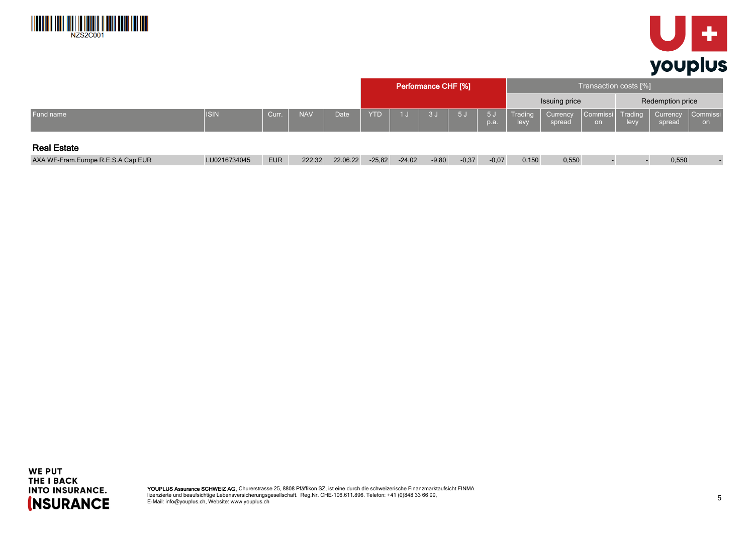



|                                    |              |            |            |             | <b>Performance CHF [%]</b> |          |         |         |               | Transaction costs [%] |                    |                          |      |                    |                |  |
|------------------------------------|--------------|------------|------------|-------------|----------------------------|----------|---------|---------|---------------|-----------------------|--------------------|--------------------------|------|--------------------|----------------|--|
|                                    |              |            |            |             |                            |          |         |         |               |                       | Issuing price      |                          |      | Redemption price   |                |  |
| Fund name                          | <b>ISIN</b>  | Curr.      | <b>NAV</b> | <b>Date</b> | <b>YTD</b>                 | 1J       | 3J      | 5J      | $-5J$<br>p.a. | Trading<br>levy       | Currency<br>spread | Commissi   Trading<br>on | levy | Currency<br>spread | Commissi<br>on |  |
| <b>Real Estate</b>                 |              |            |            |             |                            |          |         |         |               |                       |                    |                          |      |                    |                |  |
| AXA WF-Fram.Europe R.E.S.A Cap EUR | LU0216734045 | <b>EUR</b> | 222.32     | 22.06.22    | $-25,82$                   | $-24,02$ | $-9,80$ | $-0,37$ | $-0,07$       | 0,150                 | 0,550              |                          |      | 0,550              |                |  |